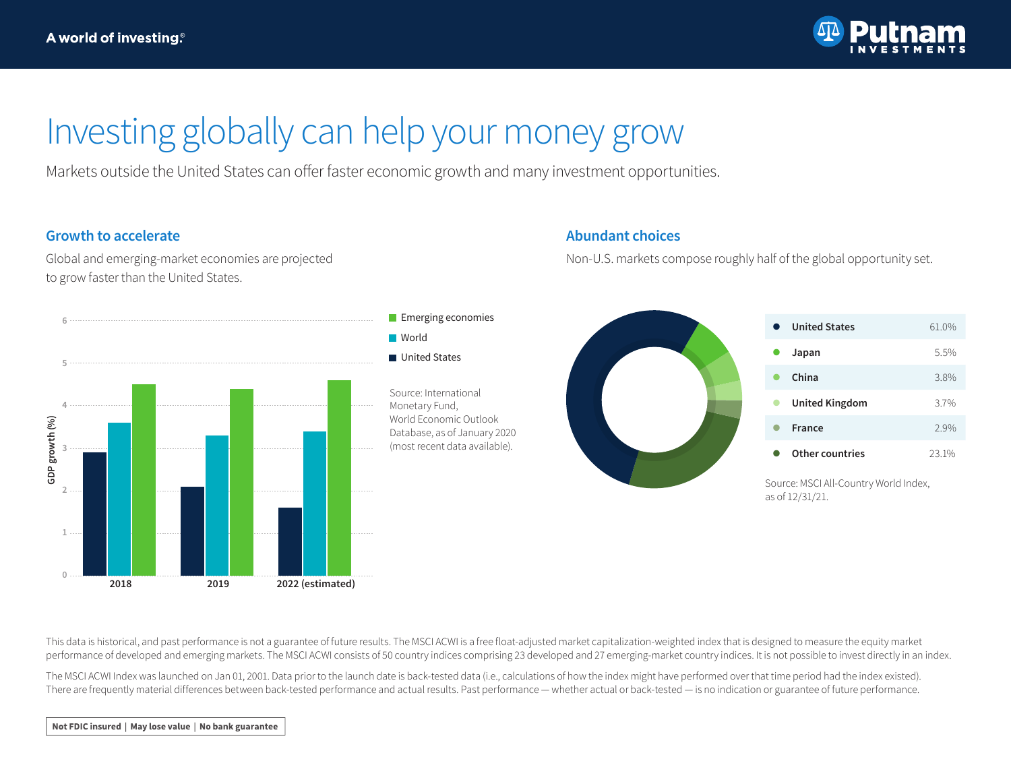

## Investing globally can help your money grow

Markets outside the United States can offer faster economic growth and many investment opportunities.

### **Growth to accelerate**

Global and emerging-market economies are projected to grow faster than the United States.



### **Abundant choices**

Non-U.S. markets compose roughly half of the global opportunity set.



Source: MSCI All-Country World Index, as of 12/31/21.

This data is historical, and past performance is not a guarantee of future results. The MSCI ACWI is a free float-adjusted market capitalization-weighted index that is designed to measure the equity market performance of developed and emerging markets. The MSCI ACWI consists of 50 country indices comprising 23 developed and 27 emerging-market country indices. It is not possible to invest directly in an index.

The MSCI ACWI Index was launched on Jan 01, 2001. Data prior to the launch date is back-tested data (i.e., calculations of how the index might have performed over that time period had the index existed). There are frequently material differences between back-tested performance and actual results. Past performance — whether actual or back-tested — is no indication or guarantee of future performance.